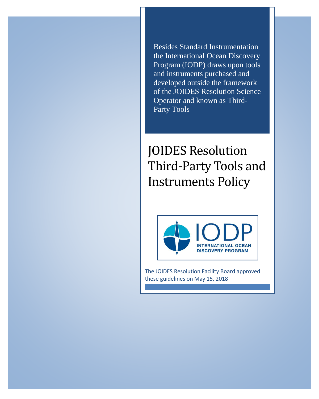Besides Standard Instrumentation the International Ocean Discovery Program (IODP) draws upon tools and instruments purchased and developed outside the framework of the JOIDES Resolution Science Operator and known as Third-Party Tools

## JOIDES Resolution Third-Party Tools and Instruments Policy



The JOIDES Resolution Facility Board approved these guidelines on May 15, 2018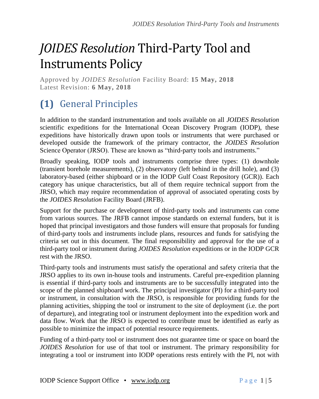# *JOIDES Resolution* Third-Party Tool and Instruments Policy

Approved by *JOIDES Resolution* Facility Board: **15 May, 2018** Latest Revision: **6 May, 2018**

### **(1)** General Principles

In addition to the standard instrumentation and tools available on all *JOIDES Resolution* scientific expeditions for the International Ocean Discovery Program (IODP), these expeditions have historically drawn upon tools or instruments that were purchased or developed outside the framework of the primary contractor, the *JOIDES Resolution* Science Operator (JRSO). These are known as "third-party tools and instruments."

Broadly speaking, IODP tools and instruments comprise three types: (1) downhole (transient borehole measurements), (2) observatory (left behind in the drill hole), and (3) laboratory-based (either shipboard or in the IODP Gulf Coast Repository (GCR)). Each category has unique characteristics, but all of them require technical support from the JRSO, which may require recommendation of approval of associated operating costs by the *JOIDES Resolution* Facility Board (JRFB).

Support for the purchase or development of third-party tools and instruments can come from various sources. The JRFB cannot impose standards on external funders, but it is hoped that principal investigators and those funders will ensure that proposals for funding of third-party tools and instruments include plans, resources and funds for satisfying the criteria set out in this document. The final responsibility and approval for the use of a third-party tool or instrument during *JOIDES Resolution* expeditions or in the IODP GCR rest with the JRSO.

Third-party tools and instruments must satisfy the operational and safety criteria that the JRSO applies to its own in-house tools and instruments. Careful pre-expedition planning is essential if third-party tools and instruments are to be successfully integrated into the scope of the planned shipboard work. The principal investigator (PI) for a third-party tool or instrument, in consultation with the JRSO, is responsible for providing funds for the planning activities, shipping the tool or instrument to the site of deployment (i.e. the port of departure), and integrating tool or instrument deployment into the expedition work and data flow. Work that the JRSO is expected to contribute must be identified as early as possible to minimize the impact of potential resource requirements.

Funding of a third-party tool or instrument does not guarantee time or space on board the *JOIDES Resolution* for use of that tool or instrument. The primary responsibility for integrating a tool or instrument into IODP operations rests entirely with the PI, not with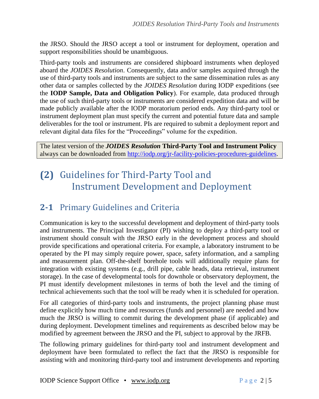the JRSO. Should the JRSO accept a tool or instrument for deployment, operation and support responsibilities should be unambiguous.

Third-party tools and instruments are considered shipboard instruments when deployed aboard the *JOIDES Resolution*. Consequently, data and/or samples acquired through the use of third-party tools and instruments are subject to the same dissemination rules as any other data or samples collected by the *JOIDES Resolution* during IODP expeditions (see the **IODP Sample, Data and Obligation Policy**). For example, data produced through the use of such third-party tools or instruments are considered expedition data and will be made publicly available after the IODP moratorium period ends. Any third-party tool or instrument deployment plan must specify the current and potential future data and sample deliverables for the tool or instrument. PIs are required to submit a deployment report and relevant digital data files for the "Proceedings" volume for the expedition.

The latest version of the *JOIDES Resolution* **Third-Party Tool and Instrument Policy** always can be downloaded from [http://iodp.org/jr-facility-policies-procedures-guidelines.](http://iodp.org/jr-facility-policies-procedures-guidelines)

### **(2)** Guidelines for Third-Party Tool and Instrument Development and Deployment

#### **2-1** Primary Guidelines and Criteria

Communication is key to the successful development and deployment of third-party tools and instruments. The Principal Investigator (PI) wishing to deploy a third-party tool or instrument should consult with the JRSO early in the development process and should provide specifications and operational criteria. For example, a laboratory instrument to be operated by the PI may simply require power, space, safety information, and a sampling and measurement plan. Off-the-shelf borehole tools will additionally require plans for integration with existing systems (e.g., drill pipe, cable heads, data retrieval, instrument storage). In the case of developmental tools for downhole or observatory deployment, the PI must identify development milestones in terms of both the level and the timing of technical achievements such that the tool will be ready when it is scheduled for operation.

For all categories of third-party tools and instruments, the project planning phase must define explicitly how much time and resources (funds and personnel) are needed and how much the JRSO is willing to commit during the development phase (if applicable) and during deployment. Development timelines and requirements as described below may be modified by agreement between the JRSO and the PI, subject to approval by the JRFB.

The following primary guidelines for third-party tool and instrument development and deployment have been formulated to reflect the fact that the JRSO is responsible for assisting with and monitoring third-party tool and instrument developments and reporting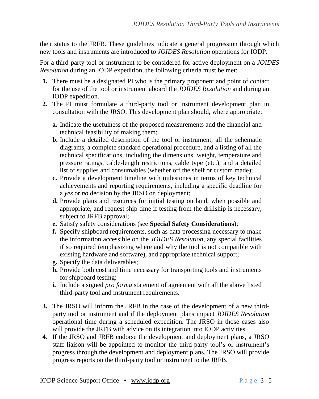their status to the JRFB. These guidelines indicate a general progression through which new tools and instruments are introduced to *JOIDES Resolution* operations for IODP.

For a third-party tool or instrument to be considered for active deployment on a *JOIDES Resolution* during an IODP expedition, the following criteria must be met:

- **1.** There must be a designated PI who is the primary proponent and point of contact for the use of the tool or instrument aboard the *JOIDES Resolution* and during an IODP expedition.
- **2.** The PI must formulate a third-party tool or instrument development plan in consultation with the JRSO. This development plan should, where appropriate:
	- **a.** Indicate the usefulness of the proposed measurements and the financial and technical feasibility of making them;
	- **b.** Include a detailed description of the tool or instrument, all the schematic diagrams, a complete standard operational procedure, and a listing of all the technical specifications, including the dimensions, weight, temperature and pressure ratings, cable-length restrictions, cable type (etc.), and a detailed list of supplies and consumables (whether off the shelf or custom made);
	- **c.** Provide a development timeline with milestones in terms of key technical achievements and reporting requirements, including a specific deadline for a *yes* or *no* decision by the JRSO on deployment;
	- **d.** Provide plans and resources for initial testing on land, when possible and appropriate, and request ship time if testing from the drillship is necessary, subject to JRFB approval;
	- **e.** Satisfy safety considerations (see **Special Safety Considerations**);
	- **f.** Specify shipboard requirements, such as data processing necessary to make the information accessible on the *JOIDES Resolution*, any special facilities if so required (emphasizing where and why the tool is not compatible with existing hardware and software), and appropriate technical support;
	- **g.** Specify the data deliverables;
	- **h.** Provide both cost and time necessary for transporting tools and instruments for shipboard testing;
	- **i.** Include a signed *pro forma* statement of agreement with all the above listed third-party tool and instrument requirements.
- **3.** The JRSO will inform the JRFB in the case of the development of a new thirdparty tool or instrument and if the deployment plans impact *JOIDES Resolution* operational time during a scheduled expedition. The JRSO in those cases also will provide the JRFB with advice on its integration into IODP activities.
- **4.** If the JRSO and JRFB endorse the development and deployment plans, a JRSO staff liaison will be appointed to monitor the third-party tool's or instrument's progress through the development and deployment plans. The JRSO will provide progress reports on the third-party tool or instrument to the JRFB.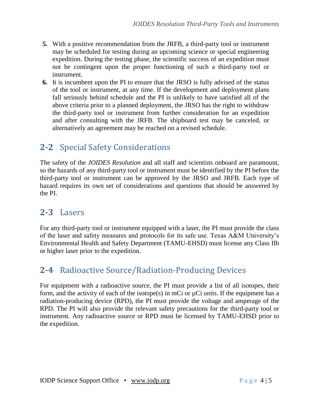- **5.** With a positive recommendation from the JRFB, a third-party tool or instrument may be scheduled for testing during an upcoming science or special engineering expedition. During the testing phase, the scientific success of an expedition must not be contingent upon the proper functioning of such a third-party tool or instrument.
- **6.** It is incumbent upon the PI to ensure that the JRSO is fully advised of the status of the tool or instrument, at any time. If the development and deployment plans fall seriously behind schedule and the PI is unlikely to have satisfied all of the above criteria prior to a planned deployment, the JRSO has the right to withdraw the third-party tool or instrument from further consideration for an expedition and after consulting with the JRFB. The shipboard test may be canceled, or alternatively an agreement may be reached on a revised schedule.

#### **2-2** Special Safety Considerations

The safety of the *JOIDES Resolution* and all staff and scientists onboard are paramount, so the hazards of any third-party tool or instrument must be identified by the PI before the third-party tool or instrument can be approved by the JRSO and JRFB. Each type of hazard requires its own set of considerations and questions that should be answered by the PI.

#### **2-3** Lasers

For any third-party tool or instrument equipped with a laser, the PI must provide the class of the laser and safety measures and protocols for its safe use. Texas A&M University's Environmental Health and Safety Department (TAMU-EHSD) must license any Class IIb or higher laser prior to the expedition.

#### **2-4** Radioactive Source/Radiation-Producing Devices

For equipment with a radioactive source, the PI must provide a list of all isotopes, their form, and the activity of each of the isotope(s) in mCi or  $\mu$ Ci units. If the equipment has a radiation-producing device (RPD), the PI must provide the voltage and amperage of the RPD. The PI will also provide the relevant safety precautions for the third-party tool or instrument. Any radioactive source or RPD must be licensed by TAMU-EHSD prior to the expedition.